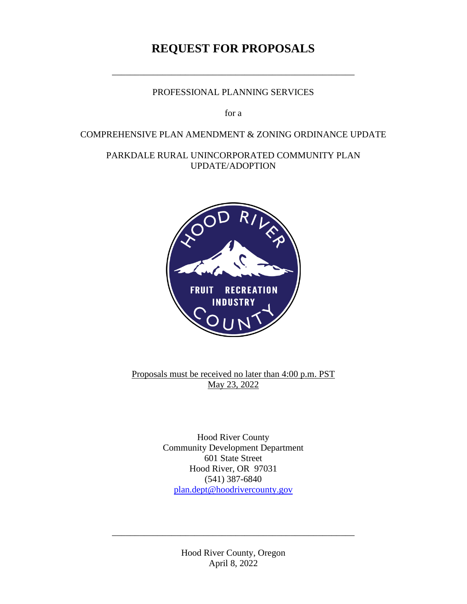# **REQUEST FOR PROPOSALS**

## PROFESSIONAL PLANNING SERVICES

\_\_\_\_\_\_\_\_\_\_\_\_\_\_\_\_\_\_\_\_\_\_\_\_\_\_\_\_\_\_\_\_\_\_\_\_\_\_\_\_\_\_\_\_\_\_\_\_\_\_\_\_\_

for a

#### COMPREHENSIVE PLAN AMENDMENT & ZONING ORDINANCE UPDATE

### PARKDALE RURAL UNINCORPORATED COMMUNITY PLAN UPDATE/ADOPTION



Proposals must be received no later than 4:00 p.m. PST May 23, 2022

> Hood River County Community Development Department 601 State Street Hood River, OR 97031 (541) 387-6840 [plan.dept@hoodrivercounty.gov](mailto:plan.dept@hoodrivercounty.gov)

> > Hood River County, Oregon April 8, 2022

\_\_\_\_\_\_\_\_\_\_\_\_\_\_\_\_\_\_\_\_\_\_\_\_\_\_\_\_\_\_\_\_\_\_\_\_\_\_\_\_\_\_\_\_\_\_\_\_\_\_\_\_\_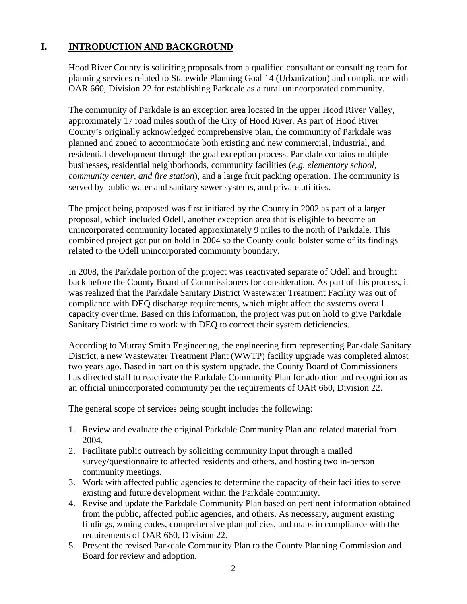# **I. INTRODUCTION AND BACKGROUND**

Hood River County is soliciting proposals from a qualified consultant or consulting team for planning services related to Statewide Planning Goal 14 (Urbanization) and compliance with OAR 660, Division 22 for establishing Parkdale as a rural unincorporated community.

The community of Parkdale is an exception area located in the upper Hood River Valley, approximately 17 road miles south of the City of Hood River. As part of Hood River County's originally acknowledged comprehensive plan, the community of Parkdale was planned and zoned to accommodate both existing and new commercial, industrial, and residential development through the goal exception process. Parkdale contains multiple businesses, residential neighborhoods, community facilities (*e.g. elementary school, community center, and fire station*), and a large fruit packing operation. The community is served by public water and sanitary sewer systems, and private utilities.

The project being proposed was first initiated by the County in 2002 as part of a larger proposal, which included Odell, another exception area that is eligible to become an unincorporated community located approximately 9 miles to the north of Parkdale. This combined project got put on hold in 2004 so the County could bolster some of its findings related to the Odell unincorporated community boundary.

In 2008, the Parkdale portion of the project was reactivated separate of Odell and brought back before the County Board of Commissioners for consideration. As part of this process, it was realized that the Parkdale Sanitary District Wastewater Treatment Facility was out of compliance with DEQ discharge requirements, which might affect the systems overall capacity over time. Based on this information, the project was put on hold to give Parkdale Sanitary District time to work with DEQ to correct their system deficiencies.

According to Murray Smith Engineering, the engineering firm representing Parkdale Sanitary District, a new Wastewater Treatment Plant (WWTP) facility upgrade was completed almost two years ago. Based in part on this system upgrade, the County Board of Commissioners has directed staff to reactivate the Parkdale Community Plan for adoption and recognition as an official unincorporated community per the requirements of OAR 660, Division 22.

The general scope of services being sought includes the following:

- 1. Review and evaluate the original Parkdale Community Plan and related material from 2004.
- 2. Facilitate public outreach by soliciting community input through a mailed survey/questionnaire to affected residents and others, and hosting two in-person community meetings.
- 3. Work with affected public agencies to determine the capacity of their facilities to serve existing and future development within the Parkdale community.
- 4. Revise and update the Parkdale Community Plan based on pertinent information obtained from the public, affected public agencies, and others. As necessary, augment existing findings, zoning codes, comprehensive plan policies, and maps in compliance with the requirements of OAR 660, Division 22.
- 5. Present the revised Parkdale Community Plan to the County Planning Commission and Board for review and adoption.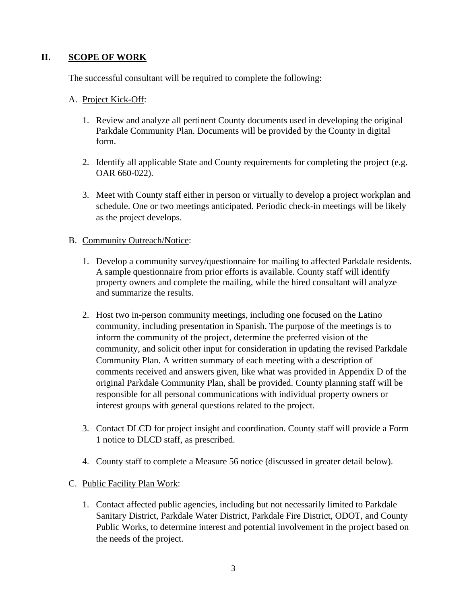## **II. SCOPE OF WORK**

The successful consultant will be required to complete the following:

#### A. Project Kick-Off:

- 1. Review and analyze all pertinent County documents used in developing the original Parkdale Community Plan. Documents will be provided by the County in digital form.
- 2. Identify all applicable State and County requirements for completing the project (e.g. OAR 660-022).
- 3. Meet with County staff either in person or virtually to develop a project workplan and schedule. One or two meetings anticipated. Periodic check-in meetings will be likely as the project develops.

#### B. Community Outreach/Notice:

- 1. Develop a community survey/questionnaire for mailing to affected Parkdale residents. A sample questionnaire from prior efforts is available. County staff will identify property owners and complete the mailing, while the hired consultant will analyze and summarize the results.
- 2. Host two in-person community meetings, including one focused on the Latino community, including presentation in Spanish. The purpose of the meetings is to inform the community of the project, determine the preferred vision of the community, and solicit other input for consideration in updating the revised Parkdale Community Plan. A written summary of each meeting with a description of comments received and answers given, like what was provided in Appendix D of the original Parkdale Community Plan, shall be provided. County planning staff will be responsible for all personal communications with individual property owners or interest groups with general questions related to the project.
- 3. Contact DLCD for project insight and coordination. County staff will provide a Form 1 notice to DLCD staff, as prescribed.
- 4. County staff to complete a Measure 56 notice (discussed in greater detail below).

#### C. Public Facility Plan Work:

1. Contact affected public agencies, including but not necessarily limited to Parkdale Sanitary District, Parkdale Water District, Parkdale Fire District, ODOT, and County Public Works, to determine interest and potential involvement in the project based on the needs of the project.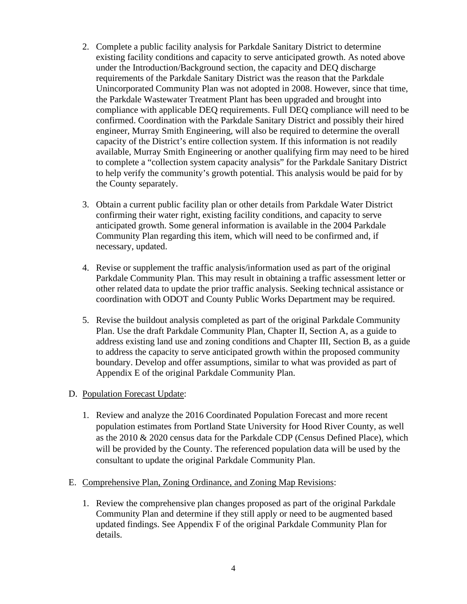- 2. Complete a public facility analysis for Parkdale Sanitary District to determine existing facility conditions and capacity to serve anticipated growth. As noted above under the Introduction/Background section, the capacity and DEQ discharge requirements of the Parkdale Sanitary District was the reason that the Parkdale Unincorporated Community Plan was not adopted in 2008. However, since that time, the Parkdale Wastewater Treatment Plant has been upgraded and brought into compliance with applicable DEQ requirements. Full DEQ compliance will need to be confirmed. Coordination with the Parkdale Sanitary District and possibly their hired engineer, Murray Smith Engineering, will also be required to determine the overall capacity of the District's entire collection system. If this information is not readily available, Murray Smith Engineering or another qualifying firm may need to be hired to complete a "collection system capacity analysis" for the Parkdale Sanitary District to help verify the community's growth potential. This analysis would be paid for by the County separately.
- 3. Obtain a current public facility plan or other details from Parkdale Water District confirming their water right, existing facility conditions, and capacity to serve anticipated growth. Some general information is available in the 2004 Parkdale Community Plan regarding this item, which will need to be confirmed and, if necessary, updated.
- 4. Revise or supplement the traffic analysis/information used as part of the original Parkdale Community Plan. This may result in obtaining a traffic assessment letter or other related data to update the prior traffic analysis. Seeking technical assistance or coordination with ODOT and County Public Works Department may be required.
- 5. Revise the buildout analysis completed as part of the original Parkdale Community Plan. Use the draft Parkdale Community Plan, Chapter II, Section A, as a guide to address existing land use and zoning conditions and Chapter III, Section B, as a guide to address the capacity to serve anticipated growth within the proposed community boundary. Develop and offer assumptions, similar to what was provided as part of Appendix E of the original Parkdale Community Plan.

#### D. Population Forecast Update:

1. Review and analyze the 2016 Coordinated Population Forecast and more recent population estimates from Portland State University for Hood River County, as well as the 2010 & 2020 census data for the Parkdale CDP (Census Defined Place), which will be provided by the County. The referenced population data will be used by the consultant to update the original Parkdale Community Plan.

#### E. Comprehensive Plan, Zoning Ordinance, and Zoning Map Revisions:

1. Review the comprehensive plan changes proposed as part of the original Parkdale Community Plan and determine if they still apply or need to be augmented based updated findings. See Appendix F of the original Parkdale Community Plan for details.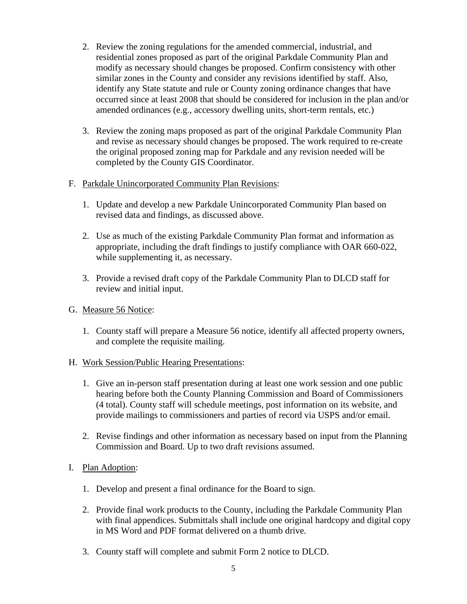- 2. Review the zoning regulations for the amended commercial, industrial, and residential zones proposed as part of the original Parkdale Community Plan and modify as necessary should changes be proposed. Confirm consistency with other similar zones in the County and consider any revisions identified by staff. Also, identify any State statute and rule or County zoning ordinance changes that have occurred since at least 2008 that should be considered for inclusion in the plan and/or amended ordinances (e.g., accessory dwelling units, short-term rentals, etc.)
- 3. Review the zoning maps proposed as part of the original Parkdale Community Plan and revise as necessary should changes be proposed. The work required to re-create the original proposed zoning map for Parkdale and any revision needed will be completed by the County GIS Coordinator.
- F. Parkdale Unincorporated Community Plan Revisions:
	- 1. Update and develop a new Parkdale Unincorporated Community Plan based on revised data and findings, as discussed above.
	- 2. Use as much of the existing Parkdale Community Plan format and information as appropriate, including the draft findings to justify compliance with OAR 660-022, while supplementing it, as necessary.
	- 3. Provide a revised draft copy of the Parkdale Community Plan to DLCD staff for review and initial input.
- G. Measure 56 Notice:
	- 1. County staff will prepare a Measure 56 notice, identify all affected property owners, and complete the requisite mailing.
- H. Work Session/Public Hearing Presentations:
	- 1. Give an in-person staff presentation during at least one work session and one public hearing before both the County Planning Commission and Board of Commissioners (4 total). County staff will schedule meetings, post information on its website, and provide mailings to commissioners and parties of record via USPS and/or email.
	- 2. Revise findings and other information as necessary based on input from the Planning Commission and Board. Up to two draft revisions assumed.
- I. Plan Adoption:
	- 1. Develop and present a final ordinance for the Board to sign.
	- 2. Provide final work products to the County, including the Parkdale Community Plan with final appendices. Submittals shall include one original hardcopy and digital copy in MS Word and PDF format delivered on a thumb drive.
	- 3. County staff will complete and submit Form 2 notice to DLCD.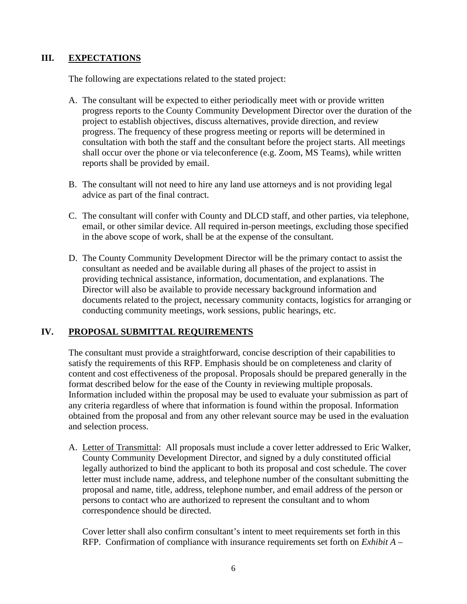### **III. EXPECTATIONS**

The following are expectations related to the stated project:

- A. The consultant will be expected to either periodically meet with or provide written progress reports to the County Community Development Director over the duration of the project to establish objectives, discuss alternatives, provide direction, and review progress. The frequency of these progress meeting or reports will be determined in consultation with both the staff and the consultant before the project starts. All meetings shall occur over the phone or via teleconference (e.g. Zoom, MS Teams), while written reports shall be provided by email.
- B. The consultant will not need to hire any land use attorneys and is not providing legal advice as part of the final contract.
- C. The consultant will confer with County and DLCD staff, and other parties, via telephone, email, or other similar device. All required in-person meetings, excluding those specified in the above scope of work, shall be at the expense of the consultant.
- D. The County Community Development Director will be the primary contact to assist the consultant as needed and be available during all phases of the project to assist in providing technical assistance, information, documentation, and explanations. The Director will also be available to provide necessary background information and documents related to the project, necessary community contacts, logistics for arranging or conducting community meetings, work sessions, public hearings, etc.

# **IV. PROPOSAL SUBMITTAL REQUIREMENTS**

The consultant must provide a straightforward, concise description of their capabilities to satisfy the requirements of this RFP. Emphasis should be on completeness and clarity of content and cost effectiveness of the proposal. Proposals should be prepared generally in the format described below for the ease of the County in reviewing multiple proposals. Information included within the proposal may be used to evaluate your submission as part of any criteria regardless of where that information is found within the proposal. Information obtained from the proposal and from any other relevant source may be used in the evaluation and selection process.

A. Letter of Transmittal: All proposals must include a cover letter addressed to Eric Walker, County Community Development Director, and signed by a duly constituted official legally authorized to bind the applicant to both its proposal and cost schedule. The cover letter must include name, address, and telephone number of the consultant submitting the proposal and name, title, address, telephone number, and email address of the person or persons to contact who are authorized to represent the consultant and to whom correspondence should be directed.

Cover letter shall also confirm consultant's intent to meet requirements set forth in this RFP. Confirmation of compliance with insurance requirements set forth on *Exhibit A –*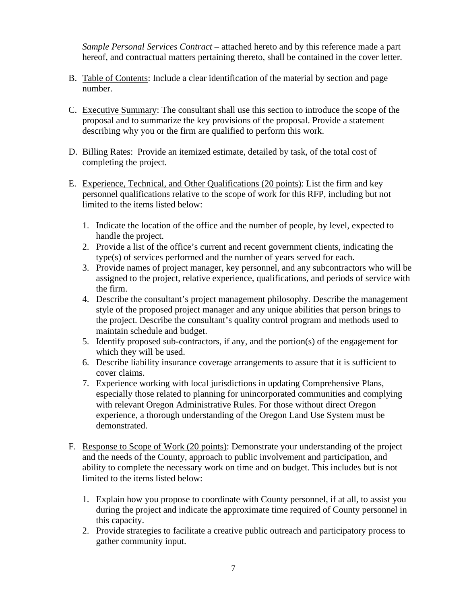*Sample Personal Services Contract –* attached hereto and by this reference made a part hereof, and contractual matters pertaining thereto, shall be contained in the cover letter.

- B. Table of Contents: Include a clear identification of the material by section and page number.
- C. Executive Summary: The consultant shall use this section to introduce the scope of the proposal and to summarize the key provisions of the proposal. Provide a statement describing why you or the firm are qualified to perform this work.
- D. Billing Rates: Provide an itemized estimate, detailed by task, of the total cost of completing the project.
- E. Experience, Technical, and Other Qualifications (20 points): List the firm and key personnel qualifications relative to the scope of work for this RFP, including but not limited to the items listed below:
	- 1. Indicate the location of the office and the number of people, by level, expected to handle the project.
	- 2. Provide a list of the office's current and recent government clients, indicating the type(s) of services performed and the number of years served for each.
	- 3. Provide names of project manager, key personnel, and any subcontractors who will be assigned to the project, relative experience, qualifications, and periods of service with the firm.
	- 4. Describe the consultant's project management philosophy. Describe the management style of the proposed project manager and any unique abilities that person brings to the project. Describe the consultant's quality control program and methods used to maintain schedule and budget.
	- 5. Identify proposed sub-contractors, if any, and the portion(s) of the engagement for which they will be used.
	- 6. Describe liability insurance coverage arrangements to assure that it is sufficient to cover claims.
	- 7. Experience working with local jurisdictions in updating Comprehensive Plans, especially those related to planning for unincorporated communities and complying with relevant Oregon Administrative Rules. For those without direct Oregon experience, a thorough understanding of the Oregon Land Use System must be demonstrated.
- F. Response to Scope of Work (20 points): Demonstrate your understanding of the project and the needs of the County, approach to public involvement and participation, and ability to complete the necessary work on time and on budget. This includes but is not limited to the items listed below:
	- 1. Explain how you propose to coordinate with County personnel, if at all, to assist you during the project and indicate the approximate time required of County personnel in this capacity.
	- 2. Provide strategies to facilitate a creative public outreach and participatory process to gather community input.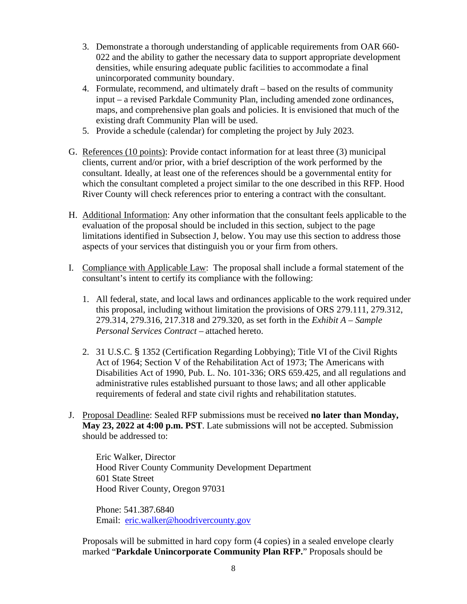- 3. Demonstrate a thorough understanding of applicable requirements from OAR 660- 022 and the ability to gather the necessary data to support appropriate development densities, while ensuring adequate public facilities to accommodate a final unincorporated community boundary.
- 4. Formulate, recommend, and ultimately draft based on the results of community input – a revised Parkdale Community Plan, including amended zone ordinances, maps, and comprehensive plan goals and policies. It is envisioned that much of the existing draft Community Plan will be used.
- 5. Provide a schedule (calendar) for completing the project by July 2023.
- G. References (10 points): Provide contact information for at least three (3) municipal clients, current and/or prior, with a brief description of the work performed by the consultant. Ideally, at least one of the references should be a governmental entity for which the consultant completed a project similar to the one described in this RFP. Hood River County will check references prior to entering a contract with the consultant.
- H. Additional Information: Any other information that the consultant feels applicable to the evaluation of the proposal should be included in this section, subject to the page limitations identified in Subsection J, below. You may use this section to address those aspects of your services that distinguish you or your firm from others.
- I. Compliance with Applicable Law: The proposal shall include a formal statement of the consultant's intent to certify its compliance with the following:
	- 1. All federal, state, and local laws and ordinances applicable to the work required under this proposal, including without limitation the provisions of ORS 279.111, 279.312, 279.314, 279.316, 217.318 and 279.320, as set forth in the *Exhibit A – Sample Personal Services Contract –* attached hereto.
	- 2. 31 U.S.C. § 1352 (Certification Regarding Lobbying); Title VI of the Civil Rights Act of 1964; Section V of the Rehabilitation Act of 1973; The Americans with Disabilities Act of 1990, Pub. L. No. 101-336; ORS 659.425, and all regulations and administrative rules established pursuant to those laws; and all other applicable requirements of federal and state civil rights and rehabilitation statutes.
- J. Proposal Deadline: Sealed RFP submissions must be received **no later than Monday, May 23, 2022 at 4:00 p.m. PST**. Late submissions will not be accepted. Submission should be addressed to:

Eric Walker, Director Hood River County Community Development Department 601 State Street Hood River County, Oregon 97031

Phone: 541.387.6840 Email: [eric.walker@hoodrivercounty.gov](mailto:eric.walker@hoodrivercounty.gov)

Proposals will be submitted in hard copy form (4 copies) in a sealed envelope clearly marked "**Parkdale Unincorporate Community Plan RFP.**" Proposals should be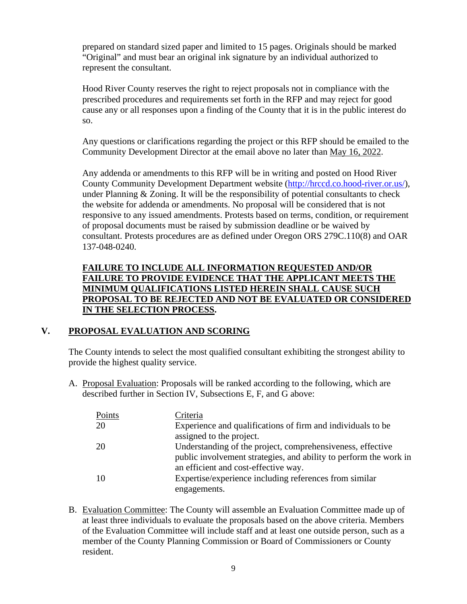prepared on standard sized paper and limited to 15 pages. Originals should be marked "Original" and must bear an original ink signature by an individual authorized to represent the consultant.

Hood River County reserves the right to reject proposals not in compliance with the prescribed procedures and requirements set forth in the RFP and may reject for good cause any or all responses upon a finding of the County that it is in the public interest do so.

Any questions or clarifications regarding the project or this RFP should be emailed to the Community Development Director at the email above no later than May 16, 2022.

Any addenda or amendments to this RFP will be in writing and posted on Hood River County Community Development Department website [\(http://hrccd.co.hood-river.or.us/\)](http://hrccd.co.hood-river.or.us/), under Planning  $& Zoning$ . It will be the responsibility of potential consultants to check the website for addenda or amendments. No proposal will be considered that is not responsive to any issued amendments. Protests based on terms, condition, or requirement of proposal documents must be raised by submission deadline or be waived by consultant. Protests procedures are as defined under Oregon ORS 279C.110(8) and OAR 137-048-0240.

#### **FAILURE TO INCLUDE ALL INFORMATION REQUESTED AND/OR FAILURE TO PROVIDE EVIDENCE THAT THE APPLICANT MEETS THE MINIMUM QUALIFICATIONS LISTED HEREIN SHALL CAUSE SUCH PROPOSAL TO BE REJECTED AND NOT BE EVALUATED OR CONSIDERED IN THE SELECTION PROCESS.**

#### **V. PROPOSAL EVALUATION AND SCORING**

The County intends to select the most qualified consultant exhibiting the strongest ability to provide the highest quality service.

A. Proposal Evaluation: Proposals will be ranked according to the following, which are described further in Section IV, Subsections E, F, and G above:

| Points | Criteria                                                          |
|--------|-------------------------------------------------------------------|
| 20     | Experience and qualifications of firm and individuals to be       |
|        | assigned to the project.                                          |
| 20     | Understanding of the project, comprehensiveness, effective        |
|        | public involvement strategies, and ability to perform the work in |
|        | an efficient and cost-effective way.                              |
| -10    | Expertise/experience including references from similar            |
|        | engagements.                                                      |

B. Evaluation Committee: The County will assemble an Evaluation Committee made up of at least three individuals to evaluate the proposals based on the above criteria. Members of the Evaluation Committee will include staff and at least one outside person, such as a member of the County Planning Commission or Board of Commissioners or County resident.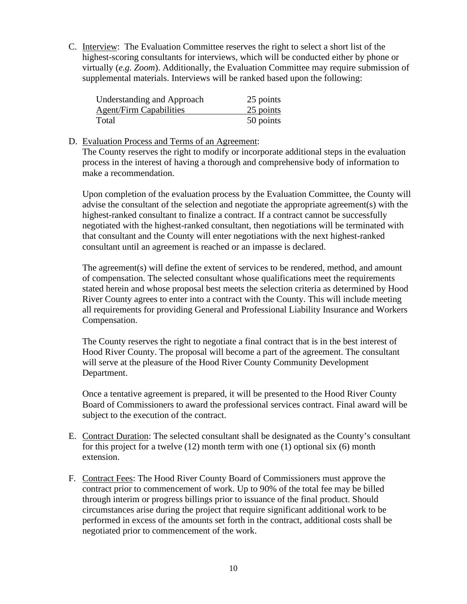C. Interview: The Evaluation Committee reserves the right to select a short list of the highest-scoring consultants for interviews, which will be conducted either by phone or virtually (*e.g. Zoom*). Additionally, the Evaluation Committee may require submission of supplemental materials. Interviews will be ranked based upon the following:

| <b>Understanding and Approach</b> | 25 points |
|-----------------------------------|-----------|
| <b>Agent/Firm Capabilities</b>    | 25 points |
| Total                             | 50 points |

#### D. Evaluation Process and Terms of an Agreement:

The County reserves the right to modify or incorporate additional steps in the evaluation process in the interest of having a thorough and comprehensive body of information to make a recommendation.

Upon completion of the evaluation process by the Evaluation Committee, the County will advise the consultant of the selection and negotiate the appropriate agreement(s) with the highest-ranked consultant to finalize a contract. If a contract cannot be successfully negotiated with the highest-ranked consultant, then negotiations will be terminated with that consultant and the County will enter negotiations with the next highest-ranked consultant until an agreement is reached or an impasse is declared.

The agreement(s) will define the extent of services to be rendered, method, and amount of compensation. The selected consultant whose qualifications meet the requirements stated herein and whose proposal best meets the selection criteria as determined by Hood River County agrees to enter into a contract with the County. This will include meeting all requirements for providing General and Professional Liability Insurance and Workers Compensation.

The County reserves the right to negotiate a final contract that is in the best interest of Hood River County. The proposal will become a part of the agreement. The consultant will serve at the pleasure of the Hood River County Community Development Department.

Once a tentative agreement is prepared, it will be presented to the Hood River County Board of Commissioners to award the professional services contract. Final award will be subject to the execution of the contract.

- E. Contract Duration: The selected consultant shall be designated as the County's consultant for this project for a twelve (12) month term with one (1) optional six (6) month extension.
- F. Contract Fees: The Hood River County Board of Commissioners must approve the contract prior to commencement of work. Up to 90% of the total fee may be billed through interim or progress billings prior to issuance of the final product. Should circumstances arise during the project that require significant additional work to be performed in excess of the amounts set forth in the contract, additional costs shall be negotiated prior to commencement of the work.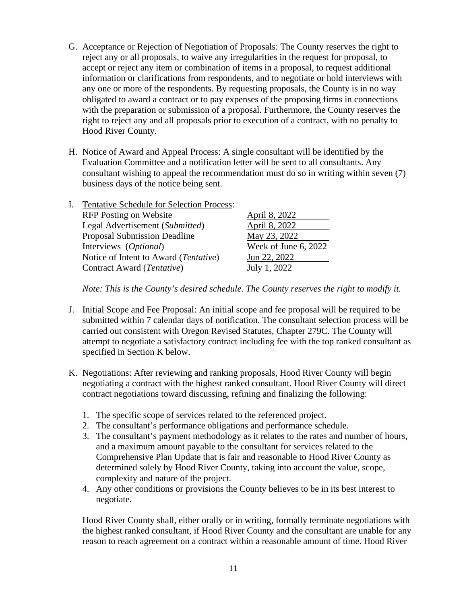- G. Acceptance or Rejection of Negotiation of Proposals: The County reserves the right to reject any or all proposals, to waive any irregularities in the request for proposal, to accept or reject any item or combination of items in a proposal, to request additional information or clarifications from respondents, and to negotiate or hold interviews with any one or more of the respondents. By requesting proposals, the County is in no way obligated to award a contract or to pay expenses of the proposing firms in connections with the preparation or submission of a proposal. Furthermore, the County reserves the right to reject any and all proposals prior to execution of a contract, with no penalty to Hood River County.
- H. Notice of Award and Appeal Process: A single consultant will be identified by the Evaluation Committee and a notification letter will be sent to all consultants. Any consultant wishing to appeal the recommendation must do so in writing within seven (7) business days of the notice being sent.

| <b>Tentative Schedule for Selection Process:</b> |                      |
|--------------------------------------------------|----------------------|
| <b>RFP</b> Posting on Website                    | April 8, 2022        |
| Legal Advertisement (Submitted)                  | April 8, 2022        |
| <b>Proposal Submission Deadline</b>              | May 23, 2022         |
| Interviews (Optional)                            | Week of June 6, 2022 |
| Notice of Intent to Award (Tentative)            | Jun 22, 2022         |
| Contract Award (Tentative)                       | July 1, 2022         |
|                                                  |                      |

*Note: This is the County's desired schedule. The County reserves the right to modify it.* 

- J. Initial Scope and Fee Proposal: An initial scope and fee proposal will be required to be submitted within 7 calendar days of notification. The consultant selection process will be carried out consistent with Oregon Revised Statutes, Chapter 279C. The County will attempt to negotiate a satisfactory contract including fee with the top ranked consultant as specified in Section K below.
- K. Negotiations: After reviewing and ranking proposals, Hood River County will begin negotiating a contract with the highest ranked consultant. Hood River County will direct contract negotiations toward discussing, refining and finalizing the following:
	- 1. The specific scope of services related to the referenced project.
	- 2. The consultant's performance obligations and performance schedule.
	- 3. The consultant's payment methodology as it relates to the rates and number of hours, and a maximum amount payable to the consultant for services related to the Comprehensive Plan Update that is fair and reasonable to Hood River County as determined solely by Hood River County, taking into account the value, scope, complexity and nature of the project.
	- 4. Any other conditions or provisions the County believes to be in its best interest to negotiate.

Hood River County shall, either orally or in writing, formally terminate negotiations with the highest ranked consultant, if Hood River County and the consultant are unable for any reason to reach agreement on a contract within a reasonable amount of time. Hood River